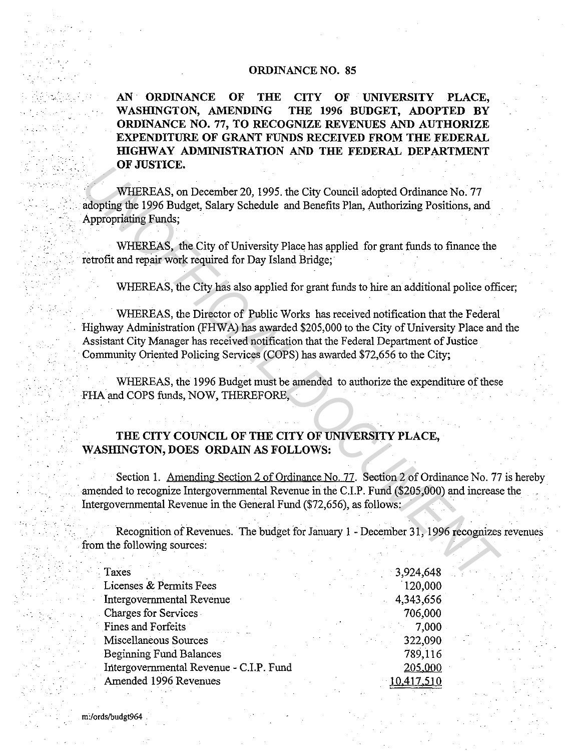## **ORDINANCE NO. 85**

**AN ORDINANCE OF THE CITY OF UNIVERSITY PLACE, WASHINGTON, AMENDING THE 1996 BUDGET, ADOPTED BY ORDINANCE NO. 77, TO RECOGNIZE REVENUES AND AUTHORIZE EXPENDITURE OF GRANT FUNDS RECEIVED FROM THE FEDERAL HIGHWAY ADMINISTRATION AND THE FEDERAL DEPARTMENT OF JUSTICE.** 

WHEREAS, on December 20, 1995. the City Council adopted Ordinance No. 77 adopting the 1996 Budget, Salary Schedule and Benefits Plan, Authorizing Positions, and Appropriating Funds;

WHEREAS, the City of University Place has applied for grant funds to finance the retrofit and repair work required for Day Island Bridge;

WHEREAS, the City has also applied for grant funds to hire an additional police officer;

WHEREAS, the Director of Public Works has received notification that the Federal Highway Administration (FHWA) has awarded \$205,000 to the City of University Place and the Assistant City Manager has received notification that the Federal Department of Justice Community Oriented Policing Services (COPS) has awarded \$72,656 to the City; **UT FIRENCES, on December 20, 1995: the City Council adopted Ordinance No. 77**<br> **Migher AS, on December 20, 1995: the City Council adopted Ordinance No. 77**<br> **adoption the 1996 Budget, Salary Schedule and Benefits Plan, Au** 

WHEREAS, the 1996 Budget must be amended to authorize the expenditure of these FHA and COPS funds, NOW, THEREFORE,

## **THE CITY COUNCIL OF THE CITY OF UNIVERSITY PLACE, WASHINGTON, DOES ORDAIN AS FOLLOWS:**

Section 1. Amending Section 2 of Ordinance No. 77. Section 2 of Ordinance No. 77 is hereby amended to recognize Intergovernmental Revenue in the C.I.P. Fund (\$205,000) and increase the Intergovernmental Revenue in the General Fund (\$72,656), as follows:

Recognition of Revenues. The budget for January 1 - December 31, 1996 recognizes revenues from the following sources:

| Taxes                                   | 3,924,648         |
|-----------------------------------------|-------------------|
| Licenses & Permits Fees                 | 120,000           |
| Intergovernmental Revenue               | 4,343,656         |
| <b>Charges for Services</b>             | 706,000           |
| Fines and Forfeits                      | 7,000             |
| Miscellaneous Sources                   | 322,090           |
| Beginning Fund Balances                 | 789,116           |
| Intergovernmental Revenue - C.I.P. Fund | 205,000           |
| Amended 1996 Revenues                   | <u>10.417,510</u> |
|                                         |                   |

 $\mathcal{L}^{\text{max}}_{\text{max}}$